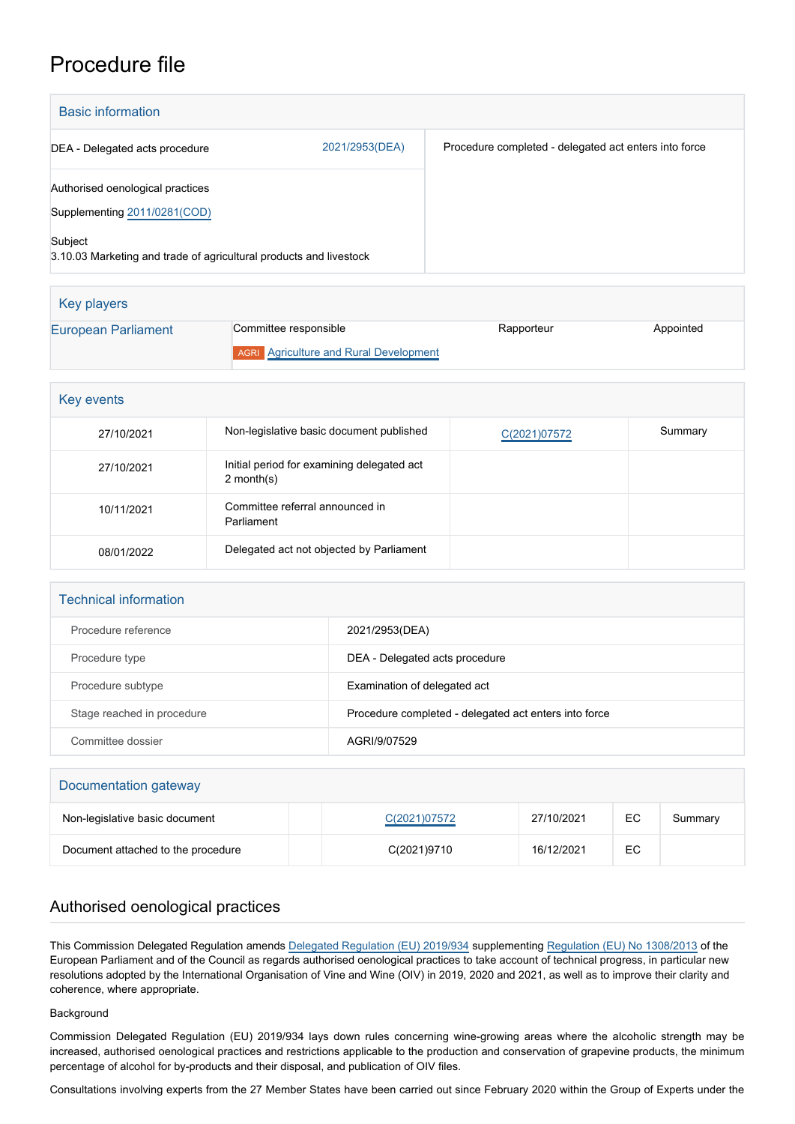# Procedure file

Key players

| <b>Basic information</b>                                                                                                                          |                |                                                       |
|---------------------------------------------------------------------------------------------------------------------------------------------------|----------------|-------------------------------------------------------|
| DEA - Delegated acts procedure                                                                                                                    | 2021/2953(DEA) | Procedure completed - delegated act enters into force |
| Authorised oenological practices<br>Supplementing 2011/0281(COD)<br>Subject<br>3.10.03 Marketing and trade of agricultural products and livestock |                |                                                       |

| <b>Rev players</b>  |                                               |            |           |
|---------------------|-----------------------------------------------|------------|-----------|
| European Parliament | Committee responsible                         | Rapporteur | Appointed |
|                     | <b>AGRI</b> Agriculture and Rural Development |            |           |

| Key events |                                                            |              |         |
|------------|------------------------------------------------------------|--------------|---------|
| 27/10/2021 | Non-legislative basic document published                   | C(2021)07572 | Summary |
| 27/10/2021 | Initial period for examining delegated act<br>$2$ month(s) |              |         |
| 10/11/2021 | Committee referral announced in<br>Parliament              |              |         |
| 08/01/2022 | Delegated act not objected by Parliament                   |              |         |

| <b>Technical information</b> |                                                       |
|------------------------------|-------------------------------------------------------|
| Procedure reference          | 2021/2953(DEA)                                        |
| Procedure type               | DEA - Delegated acts procedure                        |
| Procedure subtype            | Examination of delegated act                          |
| Stage reached in procedure   | Procedure completed - delegated act enters into force |
| Committee dossier            | AGRI/9/07529                                          |

| Documentation gateway              |              |            |    |         |
|------------------------------------|--------------|------------|----|---------|
| Non-legislative basic document     | C(2021)07572 | 27/10/2021 | EC | Summary |
| Document attached to the procedure | C(2021)9710  | 16/12/2021 | EC |         |

# Authorised oenological practices

This Commission Delegated Regulation amends [Delegated Regulation \(EU\) 2019/934](https://eur-lex.europa.eu/legal-content/EN/TXT/?uri=CELEX%3A32019R0934&qid=1637676008711) supplementing [Regulation \(EU\) No 1308/2013](https://eur-lex.europa.eu/legal-content/EN/TXT/?uri=CELEX%3A32013R1308&qid=1637676066393) of the European Parliament and of the Council as regards authorised oenological practices to take account of technical progress, in particular new resolutions adopted by the International Organisation of Vine and Wine (OIV) in 2019, 2020 and 2021, as well as to improve their clarity and coherence, where appropriate.

## Background

Commission Delegated Regulation (EU) 2019/934 lays down rules concerning wine-growing areas where the alcoholic strength may be increased, authorised oenological practices and restrictions applicable to the production and conservation of grapevine products, the minimum percentage of alcohol for by-products and their disposal, and publication of OIV files.

Consultations involving experts from the 27 Member States have been carried out since February 2020 within the Group of Experts under the